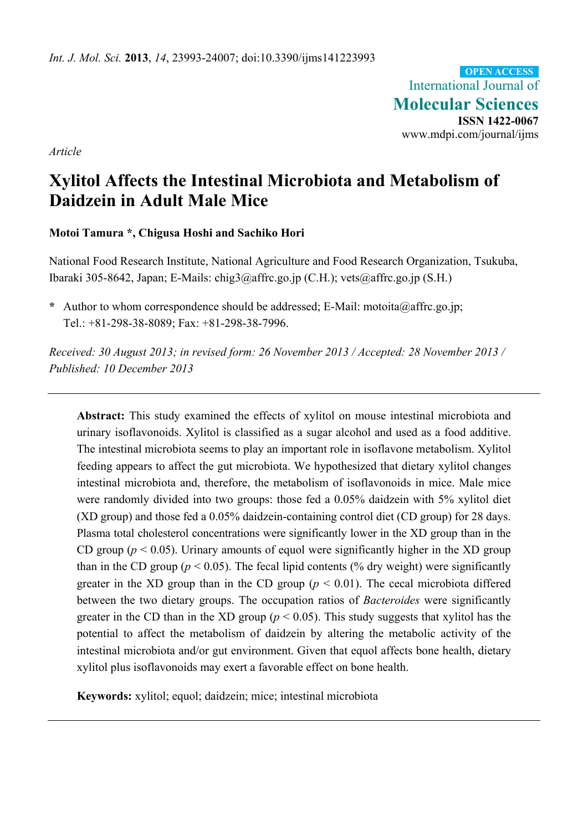International Journal of **Molecular Sciences ISSN 1422-0067**  www.mdpi.com/journal/ijms **OPEN ACCESS**

*Article* 

# **Xylitol Affects the Intestinal Microbiota and Metabolism of Daidzein in Adult Male Mice**

# **Motoi Tamura \*, Chigusa Hoshi and Sachiko Hori**

National Food Research Institute, National Agriculture and Food Research Organization, Tsukuba, Ibaraki 305-8642, Japan; E-Mails: chig3@affrc.go.jp (C.H.); vets@affrc.go.jp (S.H.)

**\*** Author to whom correspondence should be addressed; E-Mail: motoita@affrc.go.jp; Tel.: +81-298-38-8089; Fax: +81-298-38-7996.

*Received: 30 August 2013; in revised form: 26 November 2013 / Accepted: 28 November 2013 / Published: 10 December 2013* 

**Abstract:** This study examined the effects of xylitol on mouse intestinal microbiota and urinary isoflavonoids. Xylitol is classified as a sugar alcohol and used as a food additive. The intestinal microbiota seems to play an important role in isoflavone metabolism. Xylitol feeding appears to affect the gut microbiota. We hypothesized that dietary xylitol changes intestinal microbiota and, therefore, the metabolism of isoflavonoids in mice. Male mice were randomly divided into two groups: those fed a 0.05% daidzein with 5% xylitol diet (XD group) and those fed a 0.05% daidzein-containing control diet (CD group) for 28 days. Plasma total cholesterol concentrations were significantly lower in the XD group than in the CD group ( $p < 0.05$ ). Urinary amounts of equol were significantly higher in the XD group than in the CD group ( $p < 0.05$ ). The fecal lipid contents (% dry weight) were significantly greater in the XD group than in the CD group  $(p < 0.01)$ . The cecal microbiota differed between the two dietary groups. The occupation ratios of *Bacteroides* were significantly greater in the CD than in the XD group ( $p < 0.05$ ). This study suggests that xylitol has the potential to affect the metabolism of daidzein by altering the metabolic activity of the intestinal microbiota and/or gut environment. Given that equol affects bone health, dietary xylitol plus isoflavonoids may exert a favorable effect on bone health.

**Keywords:** xylitol; equol; daidzein; mice; intestinal microbiota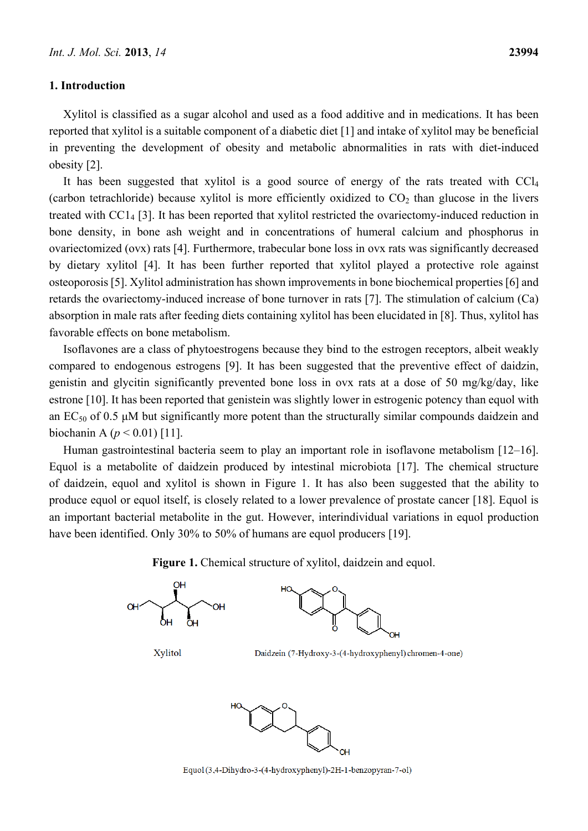#### **1. Introduction**

Xylitol is classified as a sugar alcohol and used as a food additive and in medications. It has been reported that xylitol is a suitable component of a diabetic diet [1] and intake of xylitol may be beneficial in preventing the development of obesity and metabolic abnormalities in rats with diet-induced obesity [2].

It has been suggested that xylitol is a good source of energy of the rats treated with CCl<sub>4</sub> (carbon tetrachloride) because xylitol is more efficiently oxidized to  $CO<sub>2</sub>$  than glucose in the livers treated with CC14 [3]. It has been reported that xylitol restricted the ovariectomy-induced reduction in bone density, in bone ash weight and in concentrations of humeral calcium and phosphorus in ovariectomized (ovx) rats [4]. Furthermore, trabecular bone loss in ovx rats was significantly decreased by dietary xylitol [4]. It has been further reported that xylitol played a protective role against osteoporosis [5]. Xylitol administration has shown improvements in bone biochemical properties [6] and retards the ovariectomy-induced increase of bone turnover in rats [7]. The stimulation of calcium (Ca) absorption in male rats after feeding diets containing xylitol has been elucidated in [8]. Thus, xylitol has favorable effects on bone metabolism.

Isoflavones are a class of phytoestrogens because they bind to the estrogen receptors, albeit weakly compared to endogenous estrogens [9]. It has been suggested that the preventive effect of daidzin, genistin and glycitin significantly prevented bone loss in ovx rats at a dose of 50 mg/kg/day, like estrone [10]. It has been reported that genistein was slightly lower in estrogenic potency than equol with an  $EC_{50}$  of 0.5  $\mu$ M but significantly more potent than the structurally similar compounds daidzein and biochanin A (*p* < 0.01) [11].

Human gastrointestinal bacteria seem to play an important role in isoflavone metabolism [12–16]. Equol is a metabolite of daidzein produced by intestinal microbiota [17]. The chemical structure of daidzein, equol and xylitol is shown in Figure 1. It has also been suggested that the ability to produce equol or equol itself, is closely related to a lower prevalence of prostate cancer [18]. Equol is an important bacterial metabolite in the gut. However, interindividual variations in equol production have been identified. Only 30% to 50% of humans are equol producers [19].

**Figure 1.** Chemical structure of xylitol, daidzein and equol.



Equol (3,4-Dihydro-3-(4-hydroxyphenyl)-2H-1-benzopyran-7-ol)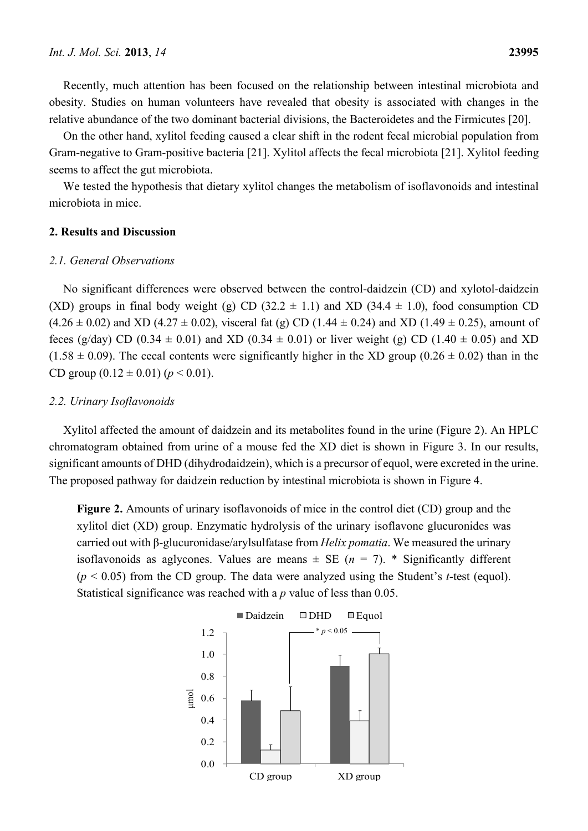Recently, much attention has been focused on the relationship between intestinal microbiota and obesity. Studies on human volunteers have revealed that obesity is associated with changes in the relative abundance of the two dominant bacterial divisions, the Bacteroidetes and the Firmicutes [20].

On the other hand, xylitol feeding caused a clear shift in the rodent fecal microbial population from Gram-negative to Gram-positive bacteria [21]. Xylitol affects the fecal microbiota [21]. Xylitol feeding seems to affect the gut microbiota.

We tested the hypothesis that dietary xylitol changes the metabolism of isoflavonoids and intestinal microbiota in mice.

#### **2. Results and Discussion**

#### *2.1. General Observations*

No significant differences were observed between the control-daidzein (CD) and xylotol-daidzein (XD) groups in final body weight (g) CD (32.2  $\pm$  1.1) and XD (34.4  $\pm$  1.0), food consumption CD  $(4.26 \pm 0.02)$  and XD (4.27  $\pm$  0.02), visceral fat (g) CD (1.44  $\pm$  0.24) and XD (1.49  $\pm$  0.25), amount of feces (g/day) CD (0.34  $\pm$  0.01) and XD (0.34  $\pm$  0.01) or liver weight (g) CD (1.40  $\pm$  0.05) and XD  $(1.58 \pm 0.09)$ . The cecal contents were significantly higher in the XD group  $(0.26 \pm 0.02)$  than in the CD group  $(0.12 \pm 0.01)$   $(p < 0.01)$ .

#### *2.2. Urinary Isoflavonoids*

Xylitol affected the amount of daidzein and its metabolites found in the urine (Figure 2). An HPLC chromatogram obtained from urine of a mouse fed the XD diet is shown in Figure 3. In our results, significant amounts of DHD (dihydrodaidzein), which is a precursor of equol, were excreted in the urine. The proposed pathway for daidzein reduction by intestinal microbiota is shown in Figure 4.

**Figure 2.** Amounts of urinary isoflavonoids of mice in the control diet (CD) group and the xylitol diet (XD) group. Enzymatic hydrolysis of the urinary isoflavone glucuronides was carried out with β-glucuronidase/arylsulfatase from *Helix pomatia*. We measured the urinary isoflavonoids as aglycones. Values are means  $\pm$  SE ( $n = 7$ ). \* Significantly different (*p* < 0.05) from the CD group. The data were analyzed using the Student's *t*-test (equol). Statistical significance was reached with a *p* value of less than 0.05.

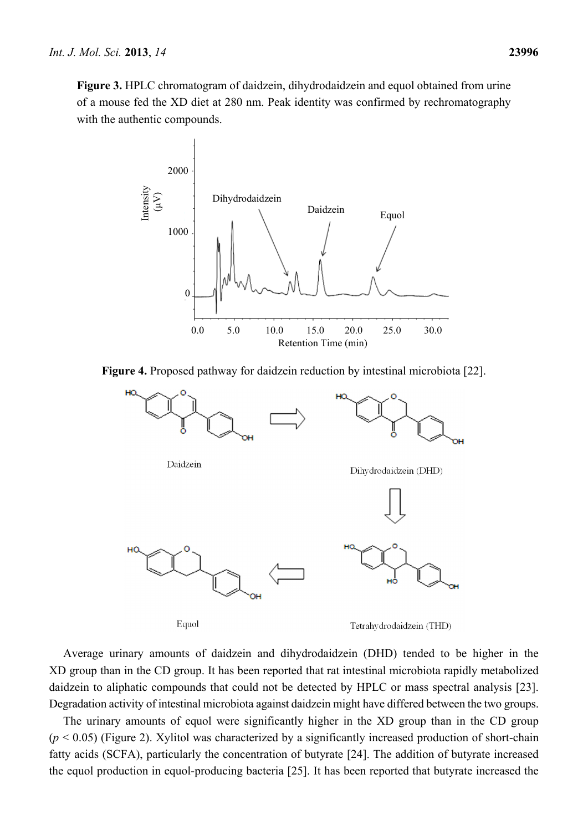





Equol

Tetrahydrodaidzein (THD)

Average urinary amounts of daidzein and dihydrodaidzein (DHD) tended to be higher in the XD group than in the CD group. It has been reported that rat intestinal microbiota rapidly metabolized daidzein to aliphatic compounds that could not be detected by HPLC or mass spectral analysis [23]. Degradation activity of intestinal microbiota against daidzein might have differed between the two groups.

The urinary amounts of equol were significantly higher in the XD group than in the CD group  $(p < 0.05)$  (Figure 2). Xylitol was characterized by a significantly increased production of short-chain fatty acids (SCFA), particularly the concentration of butyrate [24]. The addition of butyrate increased the equol production in equol-producing bacteria [25]. It has been reported that butyrate increased the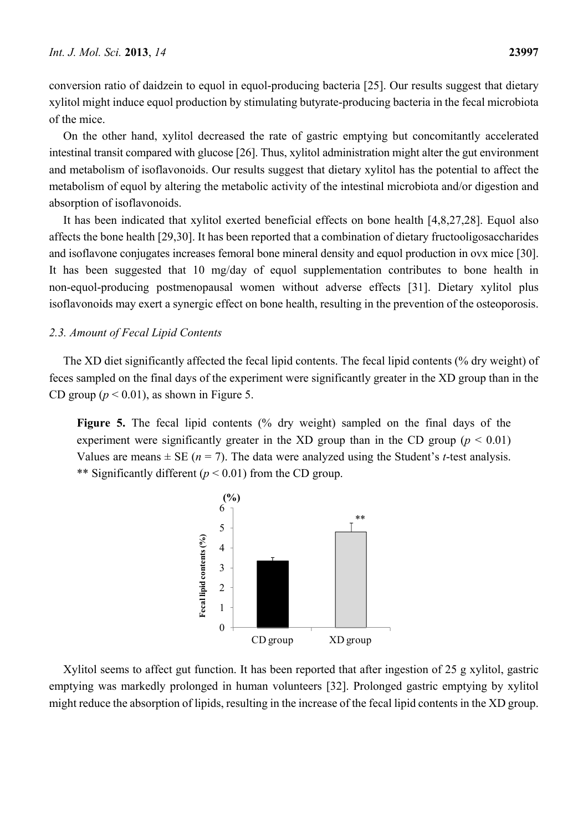conversion ratio of daidzein to equol in equol-producing bacteria [25]. Our results suggest that dietary xylitol might induce equol production by stimulating butyrate-producing bacteria in the fecal microbiota of the mice.

On the other hand, xylitol decreased the rate of gastric emptying but concomitantly accelerated intestinal transit compared with glucose [26]. Thus, xylitol administration might alter the gut environment and metabolism of isoflavonoids. Our results suggest that dietary xylitol has the potential to affect the metabolism of equol by altering the metabolic activity of the intestinal microbiota and/or digestion and absorption of isoflavonoids.

It has been indicated that xylitol exerted beneficial effects on bone health [4,8,27,28]. Equol also affects the bone health [29,30]. It has been reported that a combination of dietary fructooligosaccharides and isoflavone conjugates increases femoral bone mineral density and equol production in ovx mice [30]. It has been suggested that 10 mg/day of equol supplementation contributes to bone health in non-equol-producing postmenopausal women without adverse effects [31]. Dietary xylitol plus isoflavonoids may exert a synergic effect on bone health, resulting in the prevention of the osteoporosis.

#### *2.3. Amount of Fecal Lipid Contents*

The XD diet significantly affected the fecal lipid contents. The fecal lipid contents (% dry weight) of feces sampled on the final days of the experiment were significantly greater in the XD group than in the CD group ( $p < 0.01$ ), as shown in Figure 5.

**Figure 5.** The fecal lipid contents (% dry weight) sampled on the final days of the experiment were significantly greater in the XD group than in the CD group ( $p < 0.01$ ) Values are means  $\pm$  SE ( $n = 7$ ). The data were analyzed using the Student's *t*-test analysis. \*\* Significantly different (*p* < 0.01) from the CD group.



Xylitol seems to affect gut function. It has been reported that after ingestion of 25 g xylitol, gastric emptying was markedly prolonged in human volunteers [32]. Prolonged gastric emptying by xylitol might reduce the absorption of lipids, resulting in the increase of the fecal lipid contents in the XD group.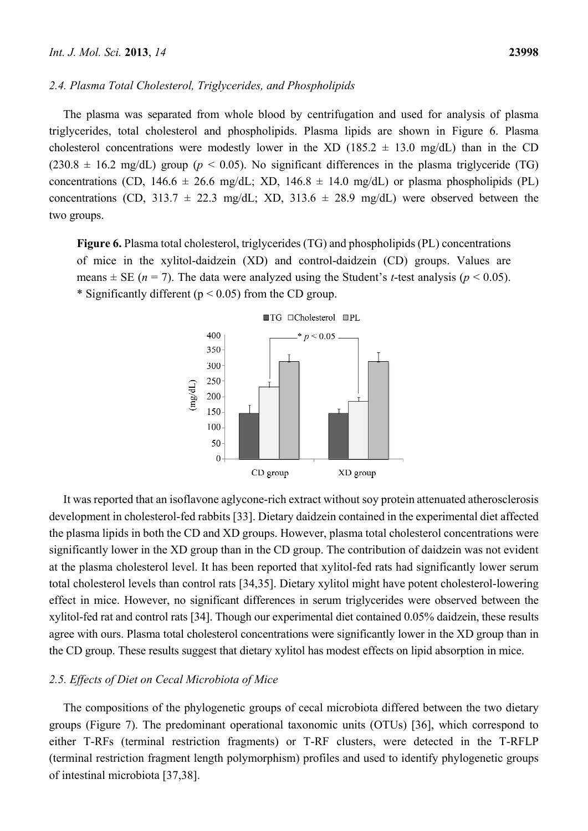The plasma was separated from whole blood by centrifugation and used for analysis of plasma triglycerides, total cholesterol and phospholipids. Plasma lipids are shown in Figure 6. Plasma cholesterol concentrations were modestly lower in the XD (185.2  $\pm$  13.0 mg/dL) than in the CD  $(230.8 \pm 16.2 \text{ mg/dL})$  group ( $p < 0.05$ ). No significant differences in the plasma triglyceride (TG) concentrations (CD, 146.6  $\pm$  26.6 mg/dL; XD, 146.8  $\pm$  14.0 mg/dL) or plasma phospholipids (PL) concentrations (CD, 313.7  $\pm$  22.3 mg/dL; XD, 313.6  $\pm$  28.9 mg/dL) were observed between the two groups.

**Figure 6.** Plasma total cholesterol, triglycerides (TG) and phospholipids (PL) concentrations of mice in the xylitol-daidzein (XD) and control-daidzein (CD) groups. Values are means  $\pm$  SE (*n* = 7). The data were analyzed using the Student's *t*-test analysis (*p* < 0.05). \* Significantly different ( $p < 0.05$ ) from the CD group.



It was reported that an isoflavone aglycone-rich extract without soy protein attenuated atherosclerosis development in cholesterol-fed rabbits [33]. Dietary daidzein contained in the experimental diet affected the plasma lipids in both the CD and XD groups. However, plasma total cholesterol concentrations were significantly lower in the XD group than in the CD group. The contribution of daidzein was not evident at the plasma cholesterol level. It has been reported that xylitol-fed rats had significantly lower serum total cholesterol levels than control rats [34,35]. Dietary xylitol might have potent cholesterol-lowering effect in mice. However, no significant differences in serum triglycerides were observed between the xylitol-fed rat and control rats [34]. Though our experimental diet contained 0.05% daidzein, these results agree with ours. Plasma total cholesterol concentrations were significantly lower in the XD group than in the CD group. These results suggest that dietary xylitol has modest effects on lipid absorption in mice.

## *2.5. Effects of Diet on Cecal Microbiota of Mice*

The compositions of the phylogenetic groups of cecal microbiota differed between the two dietary groups (Figure 7). The predominant operational taxonomic units (OTUs) [36], which correspond to either T-RFs (terminal restriction fragments) or T-RF clusters, were detected in the T-RFLP (terminal restriction fragment length polymorphism) profiles and used to identify phylogenetic groups of intestinal microbiota [37,38].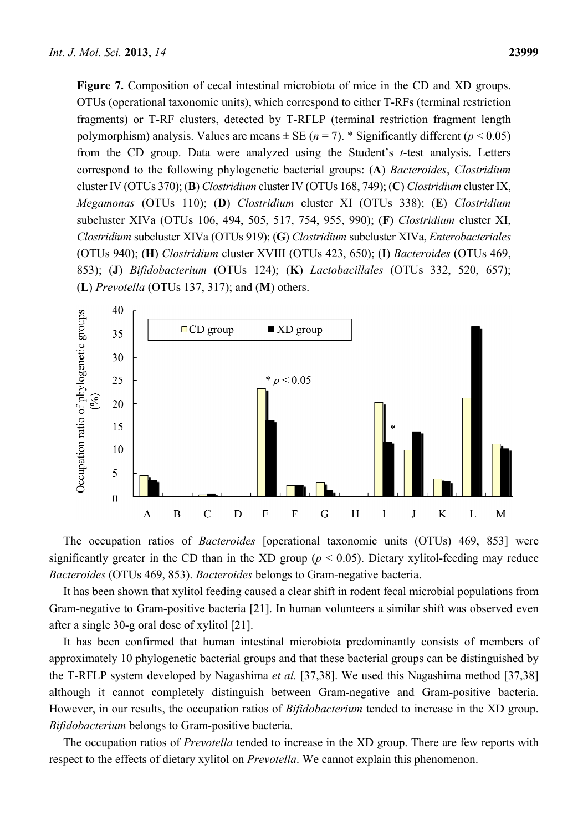**Figure 7.** Composition of cecal intestinal microbiota of mice in the CD and XD groups. OTUs (operational taxonomic units), which correspond to either T-RFs (terminal restriction fragments) or T-RF clusters, detected by T-RFLP (terminal restriction fragment length polymorphism) analysis. Values are means  $\pm$  SE (*n* = 7). \* Significantly different (*p* < 0.05) from the CD group. Data were analyzed using the Student's *t*-test analysis. Letters correspond to the following phylogenetic bacterial groups: (**A**) *Bacteroides*, *Clostridium* cluster IV (OTUs 370); (**B**) *Clostridium* cluster IV (OTUs 168, 749); (**C**) *Clostridium* cluster IX, *Megamonas* (OTUs 110); (**D**) *Clostridium* cluster XI (OTUs 338); (**E**) *Clostridium*  subcluster XIVa (OTUs 106, 494, 505, 517, 754, 955, 990); (**F**) *Clostridium* cluster XI, *Clostridium* subcluster XIVa (OTUs 919); (**G**) *Clostridium* subcluster XIVa, *Enterobacteriales*  (OTUs 940); (**H**) *Clostridium* cluster XVIII (OTUs 423, 650); (**I**) *Bacteroides* (OTUs 469, 853); (**J**) *Bifidobacterium* (OTUs 124); (**K**) *Lactobacillales* (OTUs 332, 520, 657); (**L**) *Prevotella* (OTUs 137, 317); and (**M**) others.



The occupation ratios of *Bacteroides* [operational taxonomic units (OTUs) 469, 853] were significantly greater in the CD than in the XD group ( $p < 0.05$ ). Dietary xylitol-feeding may reduce *Bacteroides* (OTUs 469, 853). *Bacteroides* belongs to Gram-negative bacteria.

It has been shown that xylitol feeding caused a clear shift in rodent fecal microbial populations from Gram-negative to Gram-positive bacteria [21]. In human volunteers a similar shift was observed even after a single 30-g oral dose of xylitol [21].

It has been confirmed that human intestinal microbiota predominantly consists of members of approximately 10 phylogenetic bacterial groups and that these bacterial groups can be distinguished by the T-RFLP system developed by Nagashima *et al.* [37,38]. We used this Nagashima method [37,38] although it cannot completely distinguish between Gram-negative and Gram-positive bacteria. However, in our results, the occupation ratios of *Bifidobacterium* tended to increase in the XD group. *Bifidobacterium* belongs to Gram-positive bacteria.

The occupation ratios of *Prevotella* tended to increase in the XD group. There are few reports with respect to the effects of dietary xylitol on *Prevotella*. We cannot explain this phenomenon.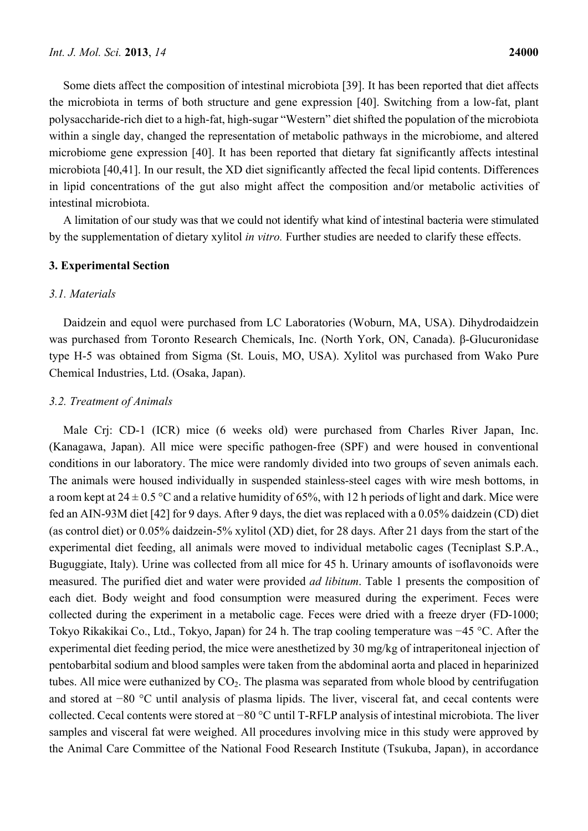Some diets affect the composition of intestinal microbiota [39]. It has been reported that diet affects the microbiota in terms of both structure and gene expression [40]. Switching from a low-fat, plant polysaccharide-rich diet to a high-fat, high-sugar "Western" diet shifted the population of the microbiota within a single day, changed the representation of metabolic pathways in the microbiome, and altered microbiome gene expression [40]. It has been reported that dietary fat significantly affects intestinal microbiota [40,41]. In our result, the XD diet significantly affected the fecal lipid contents. Differences in lipid concentrations of the gut also might affect the composition and/or metabolic activities of intestinal microbiota.

A limitation of our study was that we could not identify what kind of intestinal bacteria were stimulated by the supplementation of dietary xylitol *in vitro.* Further studies are needed to clarify these effects.

## **3. Experimental Section**

### *3.1. Materials*

Daidzein and equol were purchased from LC Laboratories (Woburn, MA, USA). Dihydrodaidzein was purchased from Toronto Research Chemicals, Inc. (North York, ON, Canada). β-Glucuronidase type H-5 was obtained from Sigma (St. Louis, MO, USA). Xylitol was purchased from Wako Pure Chemical Industries, Ltd. (Osaka, Japan).

## *3.2. Treatment of Animals*

Male Crj: CD-1 (ICR) mice (6 weeks old) were purchased from Charles River Japan, Inc. (Kanagawa, Japan). All mice were specific pathogen-free (SPF) and were housed in conventional conditions in our laboratory. The mice were randomly divided into two groups of seven animals each. The animals were housed individually in suspended stainless-steel cages with wire mesh bottoms, in a room kept at  $24 \pm 0.5$  °C and a relative humidity of 65%, with 12 h periods of light and dark. Mice were fed an AIN-93M diet [42] for 9 days. After 9 days, the diet was replaced with a 0.05% daidzein (CD) diet (as control diet) or 0.05% daidzein-5% xylitol (XD) diet, for 28 days. After 21 days from the start of the experimental diet feeding, all animals were moved to individual metabolic cages (Tecniplast S.P.A., Buguggiate, Italy). Urine was collected from all mice for 45 h. Urinary amounts of isoflavonoids were measured. The purified diet and water were provided *ad libitum*. Table 1 presents the composition of each diet. Body weight and food consumption were measured during the experiment. Feces were collected during the experiment in a metabolic cage. Feces were dried with a freeze dryer (FD-1000; Tokyo Rikakikai Co., Ltd., Tokyo, Japan) for 24 h. The trap cooling temperature was −45 °C. After the experimental diet feeding period, the mice were anesthetized by 30 mg/kg of intraperitoneal injection of pentobarbital sodium and blood samples were taken from the abdominal aorta and placed in heparinized tubes. All mice were euthanized by  $CO<sub>2</sub>$ . The plasma was separated from whole blood by centrifugation and stored at −80 °C until analysis of plasma lipids. The liver, visceral fat, and cecal contents were collected. Cecal contents were stored at −80 °C until T-RFLP analysis of intestinal microbiota. The liver samples and visceral fat were weighed. All procedures involving mice in this study were approved by the Animal Care Committee of the National Food Research Institute (Tsukuba, Japan), in accordance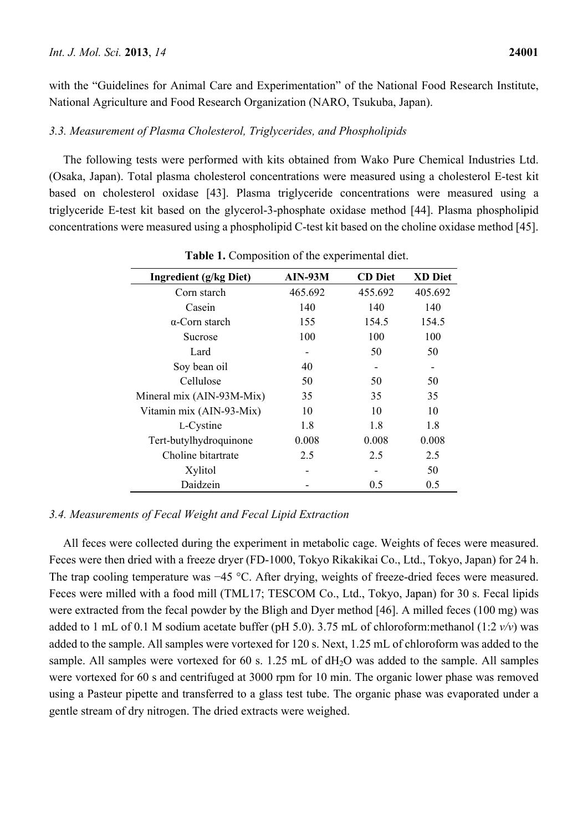with the "Guidelines for Animal Care and Experimentation" of the National Food Research Institute, National Agriculture and Food Research Organization (NARO, Tsukuba, Japan).

## *3.3. Measurement of Plasma Cholesterol, Triglycerides, and Phospholipids*

The following tests were performed with kits obtained from Wako Pure Chemical Industries Ltd. (Osaka, Japan). Total plasma cholesterol concentrations were measured using a cholesterol E-test kit based on cholesterol oxidase [43]. Plasma triglyceride concentrations were measured using a triglyceride E-test kit based on the glycerol-3-phosphate oxidase method [44]. Plasma phospholipid concentrations were measured using a phospholipid C-test kit based on the choline oxidase method [45].

| <b>Ingredient</b> (g/kg Diet) | <b>AIN-93M</b> | <b>CD</b> Diet | <b>XD Diet</b> |
|-------------------------------|----------------|----------------|----------------|
| Corn starch                   | 465.692        | 455.692        | 405.692        |
| Casein                        | 140            | 140            | 140            |
| $\alpha$ -Corn starch         | 155            | 154.5          | 154.5          |
| Sucrose                       | 100            | 100            | 100            |
| Lard                          |                | 50             | 50             |
| Soy bean oil                  | 40             |                |                |
| Cellulose                     | 50             | 50             | 50             |
| Mineral mix (AIN-93M-Mix)     | 35             | 35             | 35             |
| Vitamin mix (AIN-93-Mix)      | 10             | 10             | 10             |
| L-Cystine                     | 1.8            | 1.8            | 1.8            |
| Tert-butylhydroquinone        | 0.008          | 0.008          | 0.008          |
| Choline bitartrate            | 2.5            | 2.5            | 2.5            |
| Xylitol                       |                |                | 50             |
| Daidzein                      |                | 0.5            | 0.5            |

**Table 1.** Composition of the experimental diet.

## *3.4. Measurements of Fecal Weight and Fecal Lipid Extraction*

All feces were collected during the experiment in metabolic cage. Weights of feces were measured. Feces were then dried with a freeze dryer (FD-1000, Tokyo Rikakikai Co., Ltd., Tokyo, Japan) for 24 h. The trap cooling temperature was −45 °C. After drying, weights of freeze-dried feces were measured. Feces were milled with a food mill (TML17; TESCOM Co., Ltd., Tokyo, Japan) for 30 s. Fecal lipids were extracted from the fecal powder by the Bligh and Dyer method [46]. A milled feces (100 mg) was added to 1 mL of 0.1 M sodium acetate buffer (pH 5.0). 3.75 mL of chloroform:methanol (1:2 *v/v*) was added to the sample. All samples were vortexed for 120 s. Next, 1.25 mL of chloroform was added to the sample. All samples were vortexed for 60 s. 1.25 mL of dH<sub>2</sub>O was added to the sample. All samples were vortexed for 60 s and centrifuged at 3000 rpm for 10 min. The organic lower phase was removed using a Pasteur pipette and transferred to a glass test tube. The organic phase was evaporated under a gentle stream of dry nitrogen. The dried extracts were weighed.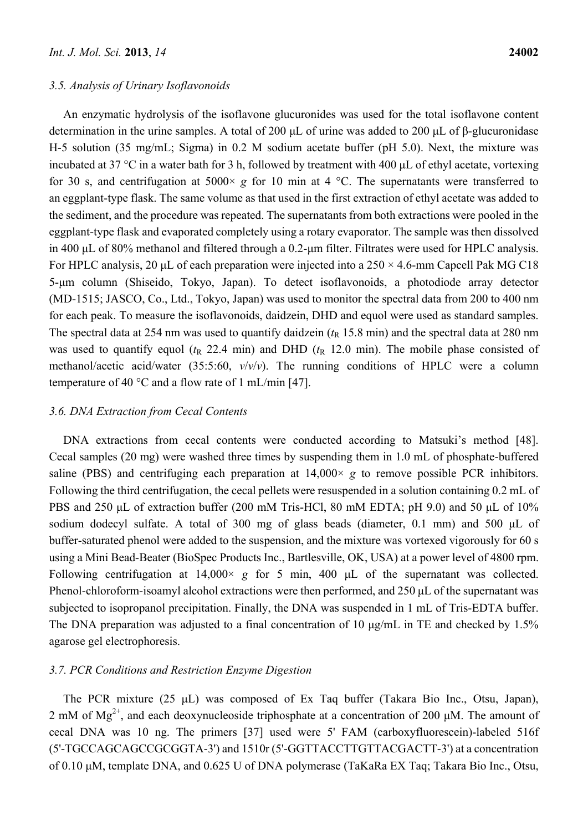#### *3.5. Analysis of Urinary Isoflavonoids*

An enzymatic hydrolysis of the isoflavone glucuronides was used for the total isoflavone content determination in the urine samples. A total of 200 μL of urine was added to 200 μL of β-glucuronidase H-5 solution (35 mg/mL; Sigma) in 0.2 M sodium acetate buffer (pH 5.0). Next, the mixture was incubated at 37 °C in a water bath for 3 h, followed by treatment with 400 μL of ethyl acetate, vortexing for 30 s, and centrifugation at  $5000 \times g$  for 10 min at 4 °C. The supernatants were transferred to an eggplant-type flask. The same volume as that used in the first extraction of ethyl acetate was added to the sediment, and the procedure was repeated. The supernatants from both extractions were pooled in the eggplant-type flask and evaporated completely using a rotary evaporator. The sample was then dissolved in 400 μL of 80% methanol and filtered through a 0.2-μm filter. Filtrates were used for HPLC analysis. For HPLC analysis, 20  $\mu$ L of each preparation were injected into a 250  $\times$  4.6-mm Capcell Pak MG C18 5-μm column (Shiseido, Tokyo, Japan). To detect isoflavonoids, a photodiode array detector (MD-1515; JASCO, Co., Ltd., Tokyo, Japan) was used to monitor the spectral data from 200 to 400 nm for each peak. To measure the isoflavonoids, daidzein, DHD and equol were used as standard samples. The spectral data at 254 nm was used to quantify daidzein  $(t<sub>R</sub> 15.8 \text{ min})$  and the spectral data at 280 nm was used to quantify equol  $(t_R \t22.4 \t min)$  and DHD  $(t_R \t12.0 \t min)$ . The mobile phase consisted of methanol/acetic acid/water (35:5:60, *v*/*v*/*v*). The running conditions of HPLC were a column temperature of 40 °C and a flow rate of 1 mL/min [47].

## *3.6. DNA Extraction from Cecal Contents*

DNA extractions from cecal contents were conducted according to Matsuki's method [48]. Cecal samples (20 mg) were washed three times by suspending them in 1.0 mL of phosphate-buffered saline (PBS) and centrifuging each preparation at  $14,000 \times g$  to remove possible PCR inhibitors. Following the third centrifugation, the cecal pellets were resuspended in a solution containing 0.2 mL of PBS and 250 μL of extraction buffer (200 mM Tris-HCl, 80 mM EDTA; pH 9.0) and 50 μL of 10% sodium dodecyl sulfate. A total of 300 mg of glass beads (diameter, 0.1 mm) and 500 μL of buffer-saturated phenol were added to the suspension, and the mixture was vortexed vigorously for 60 s using a Mini Bead*-*Beater (BioSpec Products Inc., Bartlesville, OK, USA) at a power level of 4800 rpm. Following centrifugation at 14,000× *g* for 5 min, 400 μL of the supernatant was collected. Phenol-chloroform-isoamyl alcohol extractions were then performed, and 250 μL of the supernatant was subjected to isopropanol precipitation. Finally, the DNA was suspended in 1 mL of Tris-EDTA buffer. The DNA preparation was adjusted to a final concentration of 10 μg/mL in TE and checked by 1.5% agarose gel electrophoresis.

## *3.7. PCR Conditions and Restriction Enzyme Digestion*

The PCR mixture (25 μL) was composed of Ex Taq buffer (Takara Bio Inc., Otsu, Japan), 2 mM of  $Mg^{2+}$ , and each deoxynucleoside triphosphate at a concentration of 200 µM. The amount of cecal DNA was 10 ng. The primers [37] used were 5' FAM (carboxyfluorescein)-labeled 516f (5'-TGCCAGCAGCCGCGGTA-3') and 1510r (5'-GGTTACCTTGTTACGACTT-3') at a concentration of 0.10 μM, template DNA, and 0.625 U of DNA polymerase (TaKaRa EX Taq; Takara Bio Inc., Otsu,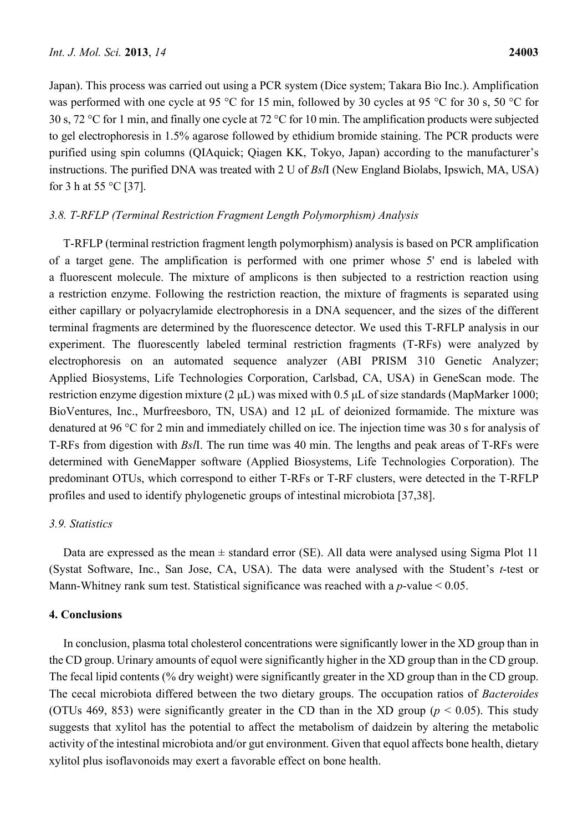Japan). This process was carried out using a PCR system (Dice system; Takara Bio Inc.). Amplification was performed with one cycle at 95 °C for 15 min, followed by 30 cycles at 95 °C for 30 s, 50 °C for 30 s, 72 °C for 1 min, and finally one cycle at 72 °C for 10 min. The amplification products were subjected to gel electrophoresis in 1.5% agarose followed by ethidium bromide staining. The PCR products were purified using spin columns (QIAquick; Qiagen KK, Tokyo, Japan) according to the manufacturer's instructions. The purified DNA was treated with 2 U of *Bsl*I (New England Biolabs, Ipswich, MA, USA) for 3 h at 55 °C [37].

# *3.8. T-RFLP (Terminal Restriction Fragment Length Polymorphism) Analysis*

T-RFLP (terminal restriction fragment length polymorphism) analysis is based on PCR amplification of a target gene. The amplification is performed with one primer whose 5' end is labeled with a fluorescent molecule. The mixture of amplicons is then subjected to a restriction reaction using a restriction enzyme. Following the restriction reaction, the mixture of fragments is separated using either capillary or polyacrylamide electrophoresis in a DNA sequencer, and the sizes of the different terminal fragments are determined by the fluorescence detector. We used this T-RFLP analysis in our experiment. The fluorescently labeled terminal restriction fragments (T-RFs) were analyzed by electrophoresis on an automated sequence analyzer (ABI PRISM 310 Genetic Analyzer; Applied Biosystems, Life Technologies Corporation, Carlsbad, CA, USA) in GeneScan mode. The restriction enzyme digestion mixture (2 μL) was mixed with 0.5 μL of size standards (MapMarker 1000; BioVentures, Inc., Murfreesboro, TN, USA) and 12 μL of deionized formamide. The mixture was denatured at 96 °C for 2 min and immediately chilled on ice. The injection time was 30 s for analysis of T-RFs from digestion with *Bsl*I. The run time was 40 min. The lengths and peak areas of T-RFs were determined with GeneMapper software (Applied Biosystems, Life Technologies Corporation). The predominant OTUs, which correspond to either T-RFs or T-RF clusters, were detected in the T-RFLP profiles and used to identify phylogenetic groups of intestinal microbiota [37,38].

#### *3.9. Statistics*

Data are expressed as the mean  $\pm$  standard error (SE). All data were analysed using Sigma Plot 11 (Systat Software, Inc., San Jose, CA, USA). The data were analysed with the Student's *t*-test or Mann-Whitney rank sum test. Statistical significance was reached with a *p*-value < 0.05.

## **4. Conclusions**

In conclusion, plasma total cholesterol concentrations were significantly lower in the XD group than in the CD group. Urinary amounts of equol were significantly higher in the XD group than in the CD group. The fecal lipid contents (% dry weight) were significantly greater in the XD group than in the CD group. The cecal microbiota differed between the two dietary groups. The occupation ratios of *Bacteroides*  (OTUs 469, 853) were significantly greater in the CD than in the XD group ( $p < 0.05$ ). This study suggests that xylitol has the potential to affect the metabolism of daidzein by altering the metabolic activity of the intestinal microbiota and/or gut environment. Given that equol affects bone health, dietary xylitol plus isoflavonoids may exert a favorable effect on bone health.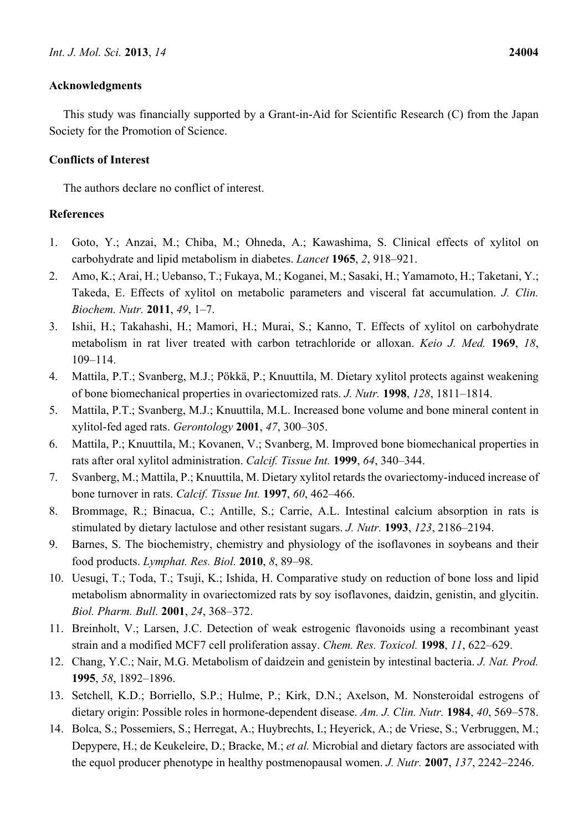# **Acknowledgments**

This study was financially supported by a Grant-in-Aid for Scientific Research (C) from the Japan Society for the Promotion of Science.

# **Conflicts of Interest**

The authors declare no conflict of interest.

# **References**

- 1. Goto, Y.; Anzai, M.; Chiba, M.; Ohneda, A.; Kawashima, S. Clinical effects of xylitol on carbohydrate and lipid metabolism in diabetes. *Lancet* **1965**, *2*, 918–921.
- 2. Amo, K.; Arai, H.; Uebanso, T.; Fukaya, M.; Koganei, M.; Sasaki, H.; Yamamoto, H.; Taketani, Y.; Takeda, E. Effects of xylitol on metabolic parameters and visceral fat accumulation. *J. Clin. Biochem. Nutr.* **2011**, *49*, 1–7.
- 3. Ishii, H.; Takahashi, H.; Mamori, H.; Murai, S.; Kanno, T. Effects of xylitol on carbohydrate metabolism in rat liver treated with carbon tetrachloride or alloxan. *Keio J. Med.* **1969**, *18*, 109–114.
- 4. Mattila, P.T.; Svanberg, M.J.; Pökkä, P.; Knuuttila, M. Dietary xylitol protects against weakening of bone biomechanical properties in ovariectomized rats. *J. Nutr.* **1998**, *128*, 1811–1814.
- 5. Mattila, P.T.; Svanberg, M.J.; Knuuttila, M.L. Increased bone volume and bone mineral content in xylitol-fed aged rats. *Gerontology* **2001**, *47*, 300–305.
- 6. Mattila, P.; Knuuttila, M.; Kovanen, V.; Svanberg, M. Improved bone biomechanical properties in rats after oral xylitol administration. *Calcif. Tissue Int.* **1999**, *64*, 340–344.
- 7. Svanberg, M.; Mattila, P.; Knuuttila, M. Dietary xylitol retards the ovariectomy-induced increase of bone turnover in rats. *Calcif. Tissue Int.* **1997**, *60*, 462–466.
- 8. Brommage, R.; Binacua, C.; Antille, S.; Carrie, A.L. Intestinal calcium absorption in rats is stimulated by dietary lactulose and other resistant sugars. *J. Nutr.* **1993**, *123*, 2186–2194.
- 9. Barnes, S. The biochemistry, chemistry and physiology of the isoflavones in soybeans and their food products. *Lymphat. Res. Biol.* **2010**, *8*, 89–98.
- 10. Uesugi, T.; Toda, T.; Tsuji, K.; Ishida, H. Comparative study on reduction of bone loss and lipid metabolism abnormality in ovariectomized rats by soy isoflavones, daidzin, genistin, and glycitin. *Biol. Pharm. Bull.* **2001**, *24*, 368–372.
- 11. Breinholt, V.; Larsen, J.C. Detection of weak estrogenic flavonoids using a recombinant yeast strain and a modified MCF7 cell proliferation assay. *Chem. Res. Toxicol.* **1998**, *11*, 622–629.
- 12. Chang, Y.C.; Nair, M.G. Metabolism of daidzein and genistein by intestinal bacteria. *J. Nat. Prod.* **1995**, *58*, 1892–1896.
- 13. Setchell, K.D.; Borriello, S.P.; Hulme, P.; Kirk, D.N.; Axelson, M. Nonsteroidal estrogens of dietary origin: Possible roles in hormone-dependent disease. *Am. J. Clin. Nutr.* **1984**, *40*, 569–578.
- 14. Bolca, S.; Possemiers, S.; Herregat, A.; Huybrechts, I.; Heyerick, A.; de Vriese, S.; Verbruggen, M.; Depypere, H.; de Keukeleire, D.; Bracke, M.; *et al.* Microbial and dietary factors are associated with the equol producer phenotype in healthy postmenopausal women. *J. Nutr.* **2007**, *137*, 2242–2246.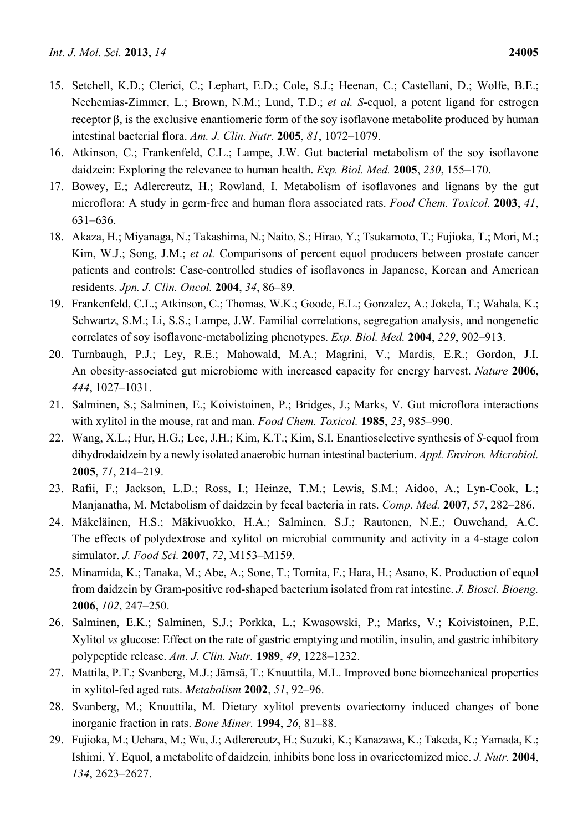- 15. Setchell, K.D.; Clerici, C.; Lephart, E.D.; Cole, S.J.; Heenan, C.; Castellani, D.; Wolfe, B.E.; Nechemias-Zimmer, L.; Brown, N.M.; Lund, T.D.; *et al. S*-equol, a potent ligand for estrogen receptor β, is the exclusive enantiomeric form of the soy isoflavone metabolite produced by human intestinal bacterial flora. *Am. J. Clin. Nutr.* **2005**, *81*, 1072–1079.
- 16. Atkinson, C.; Frankenfeld, C.L.; Lampe, J.W. Gut bacterial metabolism of the soy isoflavone daidzein: Exploring the relevance to human health. *Exp. Biol. Med.* **2005**, *230*, 155–170.
- 17. Bowey, E.; Adlercreutz, H.; Rowland, I. Metabolism of isoflavones and lignans by the gut microflora: A study in germ-free and human flora associated rats. *Food Chem. Toxicol.* **2003**, *41*, 631–636.
- 18. Akaza, H.; Miyanaga, N.; Takashima, N.; Naito, S.; Hirao, Y.; Tsukamoto, T.; Fujioka, T.; Mori, M.; Kim, W.J.; Song, J.M.; *et al.* Comparisons of percent equol producers between prostate cancer patients and controls: Case-controlled studies of isoflavones in Japanese, Korean and American residents. *Jpn. J. Clin. Oncol.* **2004**, *34*, 86–89.
- 19. Frankenfeld, C.L.; Atkinson, C.; Thomas, W.K.; Goode, E.L.; Gonzalez, A.; Jokela, T.; Wahala, K.; Schwartz, S.M.; Li, S.S.; Lampe, J.W. Familial correlations, segregation analysis, and nongenetic correlates of soy isoflavone-metabolizing phenotypes. *Exp. Biol. Med.* **2004**, *229*, 902–913.
- 20. Turnbaugh, P.J.; Ley, R.E.; Mahowald, M.A.; Magrini, V.; Mardis, E.R.; Gordon, J.I. An obesity-associated gut microbiome with increased capacity for energy harvest. *Nature* **2006**, *444*, 1027–1031.
- 21. Salminen, S.; Salminen, E.; Koivistoinen, P.; Bridges, J.; Marks, V. Gut microflora interactions with xylitol in the mouse, rat and man. *Food Chem. Toxicol.* **1985**, *23*, 985–990.
- 22. Wang, X.L.; Hur, H.G.; Lee, J.H.; Kim, K.T.; Kim, S.I. Enantioselective synthesis of *S*-equol from dihydrodaidzein by a newly isolated anaerobic human intestinal bacterium. *Appl. Environ. Microbiol.* **2005**, *71*, 214–219.
- 23. Rafii, F.; Jackson, L.D.; Ross, I.; Heinze, T.M.; Lewis, S.M.; Aidoo, A.; Lyn-Cook, L.; Manjanatha, M. Metabolism of daidzein by fecal bacteria in rats. *Comp. Med.* **2007**, *57*, 282–286.
- 24. Mäkeläinen, H.S.; Mäkivuokko, H.A.; Salminen, S.J.; Rautonen, N.E.; Ouwehand, A.C. The effects of polydextrose and xylitol on microbial community and activity in a 4-stage colon simulator. *J. Food Sci.* **2007**, *72*, M153–M159.
- 25. Minamida, K.; Tanaka, M.; Abe, A.; Sone, T.; Tomita, F.; Hara, H.; Asano, K. Production of equol from daidzein by Gram-positive rod-shaped bacterium isolated from rat intestine. *J. Biosci. Bioeng.* **2006**, *102*, 247–250.
- 26. Salminen, E.K.; Salminen, S.J.; Porkka, L.; Kwasowski, P.; Marks, V.; Koivistoinen, P.E. Xylitol *vs* glucose: Effect on the rate of gastric emptying and motilin, insulin, and gastric inhibitory polypeptide release. *Am. J. Clin. Nutr.* **1989**, *49*, 1228–1232.
- 27. Mattila, P.T.; Svanberg, M.J.; Jämsä, T.; Knuuttila, M.L. Improved bone biomechanical properties in xylitol-fed aged rats. *Metabolism* **2002**, *51*, 92–96.
- 28. Svanberg, M.; Knuuttila, M. Dietary xylitol prevents ovariectomy induced changes of bone inorganic fraction in rats. *Bone Miner.* **1994**, *26*, 81–88.
- 29. Fujioka, M.; Uehara, M.; Wu, J.; Adlercreutz, H.; Suzuki, K.; Kanazawa, K.; Takeda, K.; Yamada, K.; Ishimi, Y. Equol, a metabolite of daidzein, inhibits bone loss in ovariectomized mice. *J. Nutr.* **2004**, *134*, 2623–2627.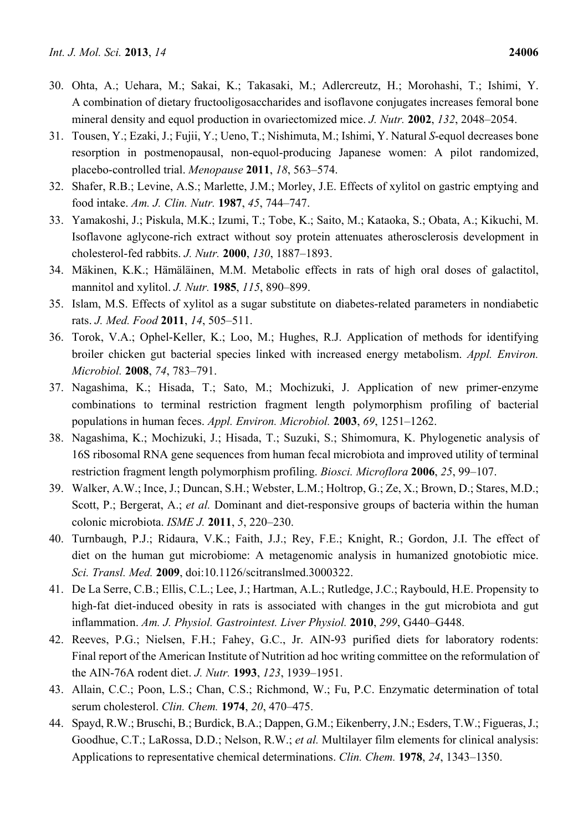- 30. Ohta, A.; Uehara, M.; Sakai, K.; Takasaki, M.; Adlercreutz, H.; Morohashi, T.; Ishimi, Y. A combination of dietary fructooligosaccharides and isoflavone conjugates increases femoral bone mineral density and equol production in ovariectomized mice. *J. Nutr.* **2002**, *132*, 2048–2054.
- 31. Tousen, Y.; Ezaki, J.; Fujii, Y.; Ueno, T.; Nishimuta, M.; Ishimi, Y. Natural *S*-equol decreases bone resorption in postmenopausal, non-equol-producing Japanese women: A pilot randomized, placebo-controlled trial. *Menopause* **2011**, *18*, 563–574.
- 32. Shafer, R.B.; Levine, A.S.; Marlette, J.M.; Morley, J.E. Effects of xylitol on gastric emptying and food intake. *Am. J. Clin. Nutr.* **1987**, *45*, 744–747.
- 33. Yamakoshi, J.; Piskula, M.K.; Izumi, T.; Tobe, K.; Saito, M.; Kataoka, S.; Obata, A.; Kikuchi, M. Isoflavone aglycone-rich extract without soy protein attenuates atherosclerosis development in cholesterol-fed rabbits. *J. Nutr.* **2000**, *130*, 1887–1893.
- 34. Mäkinen, K.K.; Hämäläinen, M.M. Metabolic effects in rats of high oral doses of galactitol, mannitol and xylitol. *J. Nutr.* **1985**, *115*, 890–899.
- 35. Islam, M.S. Effects of xylitol as a sugar substitute on diabetes-related parameters in nondiabetic rats. *J. Med. Food* **2011**, *14*, 505–511.
- 36. Torok, V.A.; Ophel-Keller, K.; Loo, M.; Hughes, R.J. Application of methods for identifying broiler chicken gut bacterial species linked with increased energy metabolism. *Appl. Environ. Microbiol.* **2008**, *74*, 783–791.
- 37. Nagashima, K.; Hisada, T.; Sato, M.; Mochizuki, J. Application of new primer-enzyme combinations to terminal restriction fragment length polymorphism profiling of bacterial populations in human feces. *Appl. Environ. Microbiol.* **2003**, *69*, 1251–1262.
- 38. Nagashima, K.; Mochizuki, J.; Hisada, T.; Suzuki, S.; Shimomura, K. Phylogenetic analysis of 16S ribosomal RNA gene sequences from human fecal microbiota and improved utility of terminal restriction fragment length polymorphism profiling. *Biosci. Microflora* **2006**, *25*, 99–107.
- 39. Walker, A.W.; Ince, J.; Duncan, S.H.; Webster, L.M.; Holtrop, G.; Ze, X.; Brown, D.; Stares, M.D.; Scott, P.; Bergerat, A.; *et al.* Dominant and diet-responsive groups of bacteria within the human colonic microbiota. *ISME J.* **2011**, *5*, 220–230.
- 40. Turnbaugh, P.J.; Ridaura, V.K.; Faith, J.J.; Rey, F.E.; Knight, R.; Gordon, J.I. The effect of diet on the human gut microbiome: A metagenomic analysis in humanized gnotobiotic mice. *Sci. Transl. Med.* **2009**, doi:10.1126/scitranslmed.3000322.
- 41. De La Serre, C.B.; Ellis, C.L.; Lee, J.; Hartman, A.L.; Rutledge, J.C.; Raybould, H.E. Propensity to high-fat diet-induced obesity in rats is associated with changes in the gut microbiota and gut inflammation. *Am. J. Physiol. Gastrointest. Liver Physiol.* **2010**, *299*, G440–G448.
- 42. Reeves, P.G.; Nielsen, F.H.; Fahey, G.C., Jr. AIN-93 purified diets for laboratory rodents: Final report of the American Institute of Nutrition ad hoc writing committee on the reformulation of the AIN-76A rodent diet. *J. Nutr.* **1993**, *123*, 1939–1951.
- 43. Allain, C.C.; Poon, L.S.; Chan, C.S.; Richmond, W.; Fu, P.C. Enzymatic determination of total serum cholesterol. *Clin. Chem.* **1974**, *20*, 470–475.
- 44. Spayd, R.W.; Bruschi, B.; Burdick, B.A.; Dappen, G.M.; Eikenberry, J.N.; Esders, T.W.; Figueras, J.; Goodhue, C.T.; LaRossa, D.D.; Nelson, R.W.; *et al.* Multilayer film elements for clinical analysis: Applications to representative chemical determinations. *Clin. Chem.* **1978**, *24*, 1343–1350.